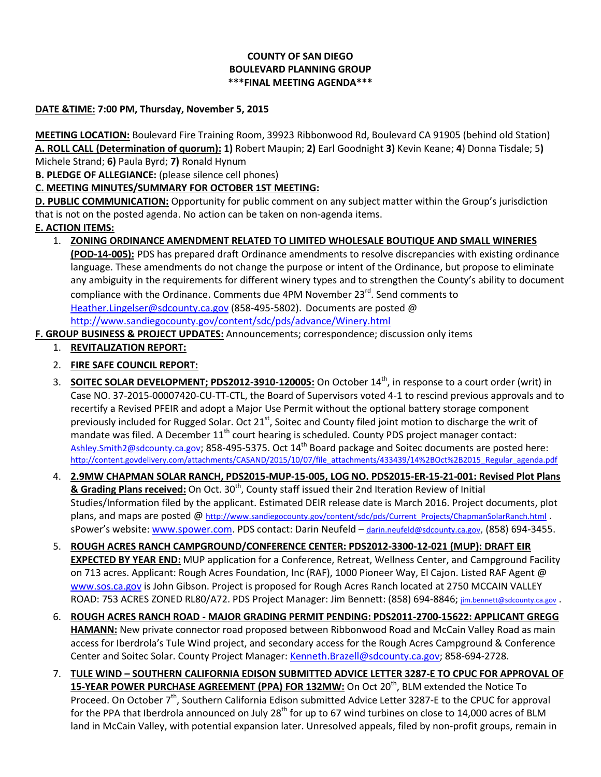## **COUNTY OF SAN DIEGO BOULEVARD PLANNING GROUP \*\*\*FINAL MEETING AGENDA\*\*\***

#### **DATE &TIME: 7:00 PM, Thursday, November 5, 2015**

**MEETING LOCATION:** Boulevard Fire Training Room, 39923 Ribbonwood Rd, Boulevard CA 91905 (behind old Station) **A. ROLL CALL (Determination of quorum): 1)** Robert Maupin; **2)** Earl Goodnight **3)** Kevin Keane; **4**) Donna Tisdale; 5**)**  Michele Strand; **6)** Paula Byrd; **7)** Ronald Hynum

**B. PLEDGE OF ALLEGIANCE:** (please silence cell phones)

# **C. MEETING MINUTES/SUMMARY FOR OCTOBER 1ST MEETING:**

**D. PUBLIC COMMUNICATION:** Opportunity for public comment on any subject matter within the Group's jurisdiction that is not on the posted agenda. No action can be taken on non-agenda items.

## **E. ACTION ITEMS:**

## 1. **ZONING ORDINANCE AMENDMENT RELATED TO LIMITED WHOLESALE BOUTIQUE AND SMALL WINERIES**

**(POD-14-005):** PDS has prepared draft Ordinance amendments to resolve discrepancies with existing ordinance language. These amendments do not change the purpose or intent of the Ordinance, but propose to eliminate any ambiguity in the requirements for different winery types and to strengthen the County's ability to document compliance with the Ordinance. Comments due 4PM November 23<sup>rd</sup>. Send comments to [Heather.Lingelser@sdcounty.ca.gov](mailto:Heather.Lingelser@sdcounty.ca.gov) (858-495-5802). Documents are posted @ <http://www.sandiegocounty.gov/content/sdc/pds/advance/Winery.html>

**F. GROUP BUSINESS & PROJECT UPDATES:** Announcements; correspondence; discussion only items

- 1. **REVITALIZATION REPORT:**
- 2. **FIRE SAFE COUNCIL REPORT:**
- 3. **SOITEC SOLAR DEVELOPMENT; PDS2012-3910-120005:** On October 14<sup>th</sup>, in response to a court order (writ) in Case NO. 37-2015-00007420-CU-TT-CTL, the Board of Supervisors voted 4-1 to rescind previous approvals and to recertify a Revised PFEIR and adopt a Major Use Permit without the optional battery storage component previously included for Rugged Solar. Oct  $21<sup>st</sup>$ , Soitec and County filed joint motion to discharge the writ of mandate was filed. A December  $11<sup>th</sup>$  court hearing is scheduled. County PDS project manager contact: [Ashley.Smith2@sdcounty.ca.gov](mailto:Ashley.Smith2@sdcounty.ca.gov); 858-495-5375. Oct 14<sup>th</sup> Board package and Soitec documents are posted here: [http://content.govdelivery.com/attachments/CASAND/2015/10/07/file\\_attachments/433439/14%2BOct%2B2015\\_Regular\\_agenda.pdf](http://content.govdelivery.com/attachments/CASAND/2015/10/07/file_attachments/433439/14%2BOct%2B2015_Regular_agenda.pdf)
- 4. **2.9MW CHAPMAN SOLAR RANCH, PDS2015-MUP-15-005, LOG NO. PDS2015-ER-15-21-001: Revised Plot Plans & Grading Plans received:** On Oct. 30<sup>th</sup>, County staff issued their 2nd Iteration Review of Initial Studies/Information filed by the applicant. Estimated DEIR release date is March 2016. Project documents, plot plans, and maps are posted @ [http://www.sandiegocounty.gov/content/sdc/pds/Current\\_Projects/ChapmanSolarRanch.html](http://www.sandiegocounty.gov/content/sdc/pds/Current_Projects/ChapmanSolarRanch.html) . sPower's website: [www.spower.com.](http://www.spower.com/) PDS contact: Darin Neufeld - [darin.neufeld@sdcounty.ca.gov](mailto:darin.neufeld@sdcounty.ca.gov), (858) 694-3455.
- 5. **ROUGH ACRES RANCH CAMPGROUND/CONFERENCE CENTER: PDS2012-3300-12-021 (MUP): DRAFT EIR EXPECTED BY YEAR END:** MUP application for a Conference, Retreat, Wellness Center, and Campground Facility on 713 acres. Applicant: Rough Acres Foundation, Inc (RAF), 1000 Pioneer Way, El Cajon. Listed RAF Agent @ [www.sos.ca.gov](http://www.sos.ca.gov/) is John Gibson. Project is proposed for Rough Acres Ranch located at 2750 MCCAIN VALLEY ROAD: 753 ACRES ZONED RL80/A72. PDS Project Manager: Jim Bennett: (858) 694-8846; [jim.bennett@sdcounty.ca.gov](mailto:jim.bennett@sdcounty.ca.gov) .
- 6. **ROUGH ACRES RANCH ROAD - MAJOR GRADING PERMIT PENDING: PDS2011-2700-15622: APPLICANT GREGG HAMANN:** New private connector road proposed between Ribbonwood Road and McCain Valley Road as main access for Iberdrola's Tule Wind project, and secondary access for the Rough Acres Campground & Conference Center and Soitec Solar. County Project Manager[: Kenneth.Brazell@sdcounty.ca.gov;](mailto:Kenneth.Brazell@sdcounty.ca.gov) 858-694-2728.
- 7. **TULE WIND – SOUTHERN CALIFORNIA EDISON SUBMITTED ADVICE LETTER 3287-E TO CPUC FOR APPROVAL OF 15-YEAR POWER PURCHASE AGREEMENT (PPA) FOR 132MW:** On Oct 20<sup>th</sup>, BLM extended the Notice To Proceed. On October 7<sup>th</sup>, Southern California Edison submitted Advice Letter 3287-E to the CPUC for approval for the PPA that Iberdrola announced on July 28<sup>th</sup> for up to 67 wind turbines on close to 14,000 acres of BLM land in McCain Valley, with potential expansion later. Unresolved appeals, filed by non-profit groups, remain in